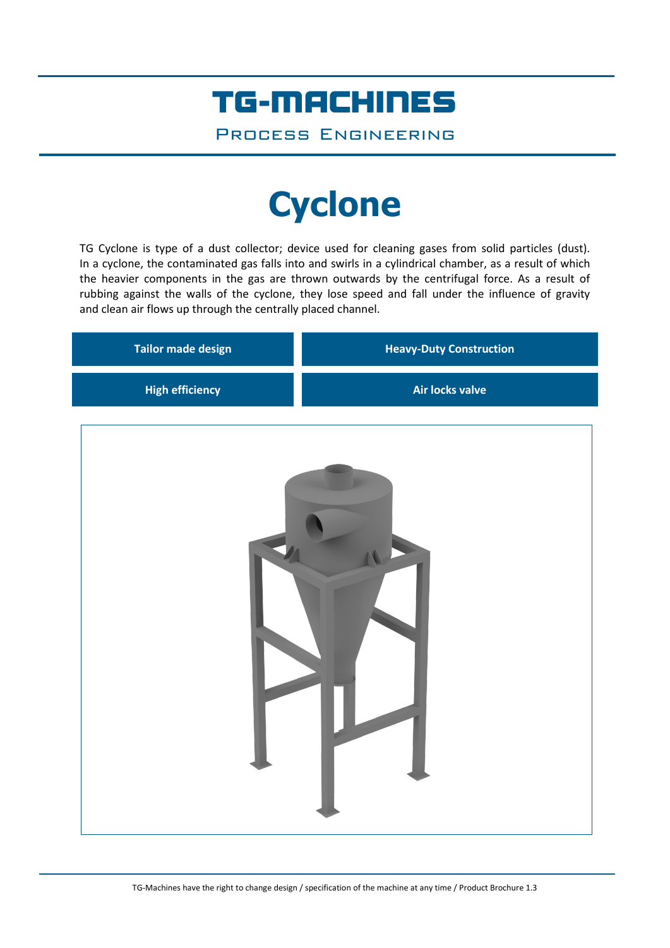### TG-MACHINES

Process Engineering

# **Cyclone**

TG Cyclone is type of a dust collector; device used for cleaning gases from solid particles (dust). In a cyclone, the contaminated gas falls into and swirls in a cylindrical chamber, as a result of which the heavier components in the gas are thrown outwards by the centrifugal force. As a result of rubbing against the walls of the cyclone, they lose speed and fall under the influence of gravity and clean air flows up through the centrally placed channel.

| <b>Tailor made design</b> | <b>Heavy-Duty Construction</b> |
|---------------------------|--------------------------------|
| <b>High efficiency</b>    | <b>Air locks valve</b>         |
|                           |                                |